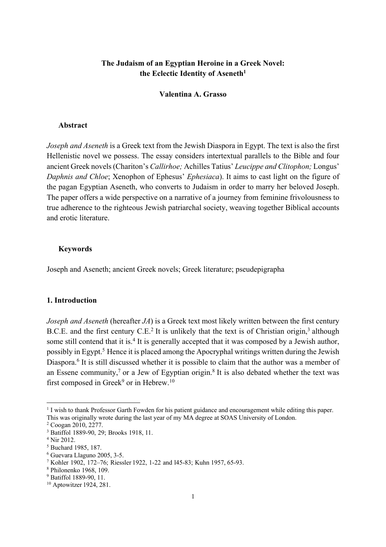# **The Judaism of an Egyptian Heroine in a Greek Novel: the Eclectic Identity of Aseneth1**

## **Valentina A. Grasso**

## **Abstract**

*Joseph and Aseneth* is a Greek text from the Jewish Diaspora in Egypt. The text is also the first Hellenistic novel we possess. The essay considers intertextual parallels to the Bible and four ancient Greek novels(Chariton's *Callirhoe;* Achilles Tatius' *Leucippe and Clitophon;* Longus' *Daphnis and Chloe*; Xenophon of Ephesus' *Ephesiaca*). It aims to cast light on the figure of the pagan Egyptian Aseneth, who converts to Judaism in order to marry her beloved Joseph. The paper offers a wide perspective on a narrative of a journey from feminine frivolousness to true adherence to the righteous Jewish patriarchal society, weaving together Biblical accounts and erotic literature.

## **Keywords**

Joseph and Aseneth; ancient Greek novels; Greek literature; pseudepigrapha

## **1. Introduction**

*Joseph and Aseneth* (hereafter *JA*) is a Greek text most likely written between the first century B.C.E. and the first century  $C.E<sup>2</sup>$  It is unlikely that the text is of Christian origin,<sup>3</sup> although some still contend that it is.<sup>4</sup> It is generally accepted that it was composed by a Jewish author, possibly in Egypt.<sup>5</sup> Hence it is placed among the Apocryphal writings written during the Jewish Diaspora.<sup>6</sup> It is still discussed whether it is possible to claim that the author was a member of an Essene community,<sup>7</sup> or a Jew of Egyptian origin.<sup>8</sup> It is also debated whether the text was first composed in Greek<sup>9</sup> or in Hebrew.<sup>10</sup>

 <sup>1</sup> <sup>I</sup> wish to thank Professor Garth Fowden for his patient guidance and encouragement while editing this paper. This was originally wrote during the last year of my MA degree at SOAS University of London.

<sup>2</sup> Coogan 2010, 2277.

<sup>3</sup> Batiffol 1889-90, 29; Brooks 1918, 11.

<sup>4</sup> Nir 2012.

<sup>5</sup> Buchard 1985, 187.

<sup>6</sup> Guevara Llaguno 2005, 3-5.

<sup>7</sup> Kohler 1902, 172–76; Riessler 1922, 1-22 and l45-83; Kuhn 1957, 65-93.

<sup>8</sup> Philonenko 1968, 109.

<sup>9</sup> Batiffol 1889-90, 11.

<sup>10</sup> Aptowitzer 1924, 281.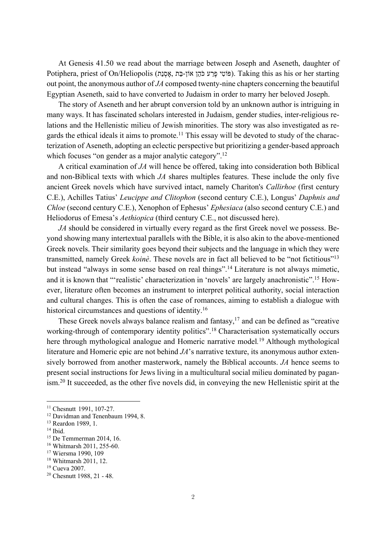At Genesis 41.50 we read about the marriage between Joseph and Aseneth, daughter of Potiphera, priest of On/Heliopolis (אָסְנָה, אֲמָכָה יְהֹוּ - הַבְּתּ , תַּחֹם). Taking this as his or her starting out point, the anonymous author of *JA* composed twenty-nine chapters concerning the beautiful Egyptian Aseneth, said to have converted to Judaism in order to marry her beloved Joseph.

The story of Aseneth and her abrupt conversion told by an unknown author is intriguing in many ways. It has fascinated scholars interested in Judaism, gender studies, inter-religious relations and the Hellenistic milieu of Jewish minorities. The story was also investigated as regards the ethical ideals it aims to promote.<sup>11</sup> This essay will be devoted to study of the characterization of Aseneth, adopting an eclectic perspective but prioritizing a gender-based approach which focuses "on gender as a major analytic category".<sup>12</sup>

A critical examination of *JA* will hence be offered, taking into consideration both Biblical and non-Biblical texts with which *JA* shares multiples features. These include the only five ancient Greek novels which have survived intact, namely Chariton's *Callirhoe* (first century C.E.), Achilles Tatius' *Leucippe and Clitophon* (second century C.E.), Longus' *Daphnis and Chloe* (second century C.E.), Xenophon of Ephesus' *Ephesiaca* (also second century C.E.) and Heliodorus of Emesa's *Aethiopica* (third century C.E., not discussed here).

*JA* should be considered in virtually every regard as the first Greek novel we possess. Beyond showing many intertextual parallels with the Bible, it is also akin to the above-mentioned Greek novels. Their similarity goes beyond their subjects and the language in which they were transmitted, namely Greek *koinè*. These novels are in fact all believed to be "not fictitious"13 but instead "always in some sense based on real things".14 Literature is not always mimetic, and it is known that "'realistic' characterization in 'novels' are largely anachronistic".15 However, literature often becomes an instrument to interpret political authority, social interaction and cultural changes. This is often the case of romances, aiming to establish a dialogue with historical circumstances and questions of identity.<sup>16</sup>

These Greek novels always balance realism and fantasy,<sup>17</sup> and can be defined as "creative working-through of contemporary identity politics".<sup>18</sup> Characterisation systematically occurs here through mythological analogue and Homeric narrative model*.* <sup>19</sup> Although mythological literature and Homeric epic are not behind *JA*'s narrative texture, its anonymous author extensively borrowed from another masterwork, namely the Biblical accounts. *JA* hence seems to present social instructions for Jews living in a multicultural social milieu dominated by paganism.20 It succeeded, as the other five novels did, in conveying the new Hellenistic spirit at the

<sup>&</sup>lt;sup>11</sup> Chesnutt 1991, 107-27.

<sup>&</sup>lt;sup>12</sup> Davidman and Tenenbaum 1994, 8.

<sup>13</sup> Reardon 1989, 1.

 $14$  Ibid.

<sup>15</sup> De Temmerman 2014, 16.

<sup>16</sup> Whitmarsh 2011, 255-60.

<sup>17</sup> Wiersma 1990, 109

<sup>18</sup> Whitmarsh 2011, 12.

<sup>19</sup> Cueva 2007.

<sup>20</sup> Chesnutt 1988, 21 - 48.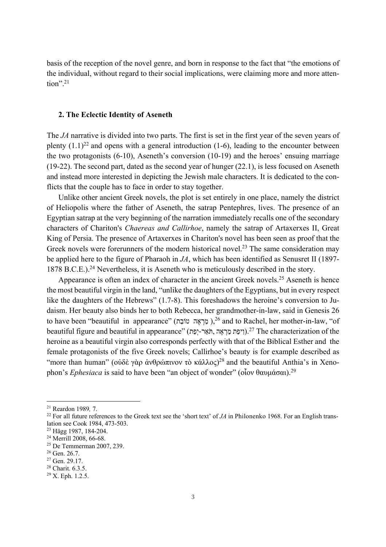basis of the reception of the novel genre, and born in response to the fact that "the emotions of the individual, without regard to their social implications, were claiming more and more attention".21

#### **2. The Eclectic Identity of Aseneth**

The *JA* narrative is divided into two parts. The first is set in the first year of the seven years of plenty  $(1.1)^{22}$  and opens with a general introduction (1-6), leading to the encounter between the two protagonists (6-10), Aseneth's conversion (10-19) and the heroes' ensuing marriage (19-22). The second part, dated as the second year of hunger (22.1), is less focused on Aseneth and instead more interested in depicting the Jewish male characters. It is dedicated to the conflicts that the couple has to face in order to stay together.

Unlike other ancient Greek novels, the plot is set entirely in one place, namely the district of Heliopolis where the father of Aseneth, the satrap Pentephres, lives. The presence of an Egyptian satrap at the very beginning of the narration immediately recalls one of the secondary characters of Chariton's *Chaereas and Callirhoe*, namely the satrap of Artaxerxes II, Great King of Persia. The presence of Artaxerxes in Chariton's novel has been seen as proof that the Greek novels were forerunners of the modern historical novel.<sup>23</sup> The same consideration may be applied here to the figure of Pharaoh in *JA*, which has been identified as Senusret II (1897- 1878 B.C.E.).24 Nevertheless, it is Aseneth who is meticulously described in the story.

Appearance is often an index of character in the ancient Greek novels.<sup>25</sup> Aseneth is hence the most beautiful virgin in the land, "unlike the daughters of the Egyptians, but in every respect like the daughters of the Hebrews" (1.7-8). This foreshadows the heroine's conversion to Judaism. Her beauty also binds her to both Rebecca, her grandmother-in-law, said in Genesis 26 to have been "beautiful in appearance" (מַרְאֶה טוֹבַה),<sup>26</sup> and to Rachel, her mother-in-law, "of the of the .27 (ויפַת מַרְאֶה, הִאֲר-יְפַת).<sup>27</sup> The characterization of the heroine as a beautiful virgin also corresponds perfectly with that of the Biblical Esther and the female protagonists of the five Greek novels; Callirhoe's beauty is for example described as "more than human" (οὐδὲ γὰρ ἀνθρώπινον τὸ κάλλος)<sup>28</sup> and the beautiful Anthia's in Xenophon's *Ephesiaca* is said to have been "an object of wonder" (οἷον θαυμάσαι).29

 <sup>21</sup> Reardon <sup>1989</sup>*,* 7.

<sup>&</sup>lt;sup>22</sup> For all future references to the Greek text see the 'short text' of *JA* in Philonenko 1968. For an English translation see Cook 1984, 473-503.

<sup>23</sup> Hägg 1987, 184-204.

<sup>&</sup>lt;sup>24</sup> Merrill 2008, 66-68.

<sup>25</sup> De Temmerman 2007, 239.

<sup>26</sup> Gen. 26.7.

<sup>&</sup>lt;sup>27</sup> Gen. 29.17.

<sup>&</sup>lt;sup>28</sup> Charit. 6.3.5.

<sup>29</sup> X. Eph. 1.2.5.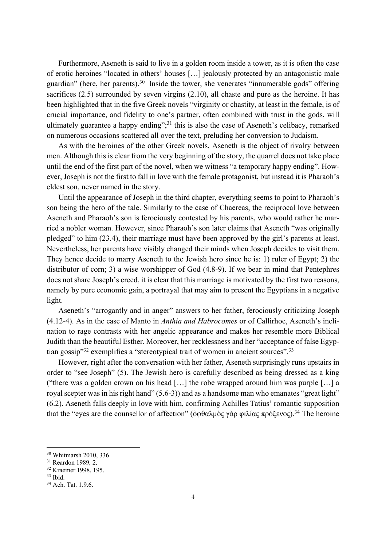Furthermore, Aseneth is said to live in a golden room inside a tower, as it is often the case of erotic heroines "located in others' houses […] jealously protected by an antagonistic male guardian" (here, her parents).<sup>30</sup> Inside the tower, she venerates "innumerable gods" offering sacrifices (2.5) surrounded by seven virgins (2.10), all chaste and pure as the heroine. It has been highlighted that in the five Greek novels "virginity or chastity, at least in the female, is of crucial importance, and fidelity to one's partner, often combined with trust in the gods, will ultimately guarantee a happy ending"; $31$  this is also the case of Aseneth's celibacy, remarked on numerous occasions scattered all over the text, preluding her conversion to Judaism.

As with the heroines of the other Greek novels, Aseneth is the object of rivalry between men. Although this is clear from the very beginning of the story, the quarrel does not take place until the end of the first part of the novel, when we witness "a temporary happy ending". However, Joseph is not the first to fall in love with the female protagonist, but instead it is Pharaoh's eldest son, never named in the story.

Until the appearance of Joseph in the third chapter, everything seems to point to Pharaoh's son being the hero of the tale. Similarly to the case of Chaereas, the reciprocal love between Aseneth and Pharaoh's son is ferociously contested by his parents, who would rather he married a nobler woman. However, since Pharaoh's son later claims that Aseneth "was originally pledged" to him (23.4), their marriage must have been approved by the girl's parents at least. Nevertheless, her parents have visibly changed their minds when Joseph decides to visit them. They hence decide to marry Aseneth to the Jewish hero since he is: 1) ruler of Egypt; 2) the distributor of corn; 3) a wise worshipper of God (4.8-9). If we bear in mind that Pentephres does not share Joseph's creed, it is clear that this marriage is motivated by the first two reasons, namely by pure economic gain, a portrayal that may aim to present the Egyptians in a negative light.

Aseneth's "arrogantly and in anger" answers to her father, ferociously criticizing Joseph (4.12-4). As in the case of Manto in *Anthia and Habrocomes* or of Callirhoe, Aseneth's inclination to rage contrasts with her angelic appearance and makes her resemble more Biblical Judith than the beautiful Esther. Moreover, her recklessness and her "acceptance of false Egyptian gossip<sup>33</sup> exemplifies a "stereotypical trait of women in ancient sources".<sup>33</sup>

However, right after the conversation with her father, Aseneth surprisingly runs upstairs in order to "see Joseph" (5). The Jewish hero is carefully described as being dressed as a king ("there was a golden crown on his head […] the robe wrapped around him was purple […] a royal scepter was in his right hand" (5.6-3)) and as a handsome man who emanates "great light" (6.2). Aseneth falls deeply in love with him, confirming Achilles Tatius' romantic supposition that the "eyes are the counsellor of affection" (ὀφθαλμὸς γὰρ φιλίας πρόξενος).<sup>34</sup> The heroine

 <sup>30</sup> Whitmarsh 2010, <sup>336</sup>

<sup>31</sup> Reardon 1989*,* 2.

<sup>32</sup> Kraemer 1998, 195.

<sup>33</sup> Ibid.

<sup>34</sup> Ach. Tat. 1.9.6.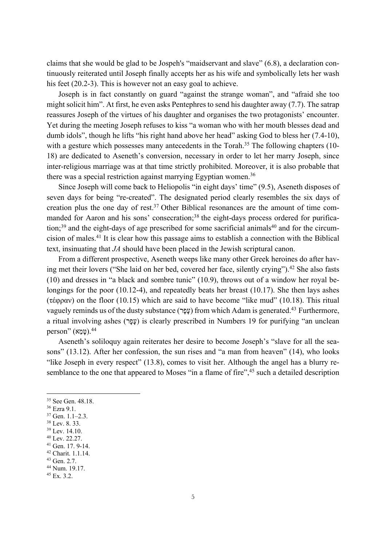claims that she would be glad to be Jospeh's "maidservant and slave" (6.8), a declaration continuously reiterated until Joseph finally accepts her as his wife and symbolically lets her wash his feet (20.2-3). This is however not an easy goal to achieve.

Joseph is in fact constantly on guard "against the strange woman", and "afraid she too might solicit him". At first, he even asks Pentephres to send his daughter away (7.7). The satrap reassures Joseph of the virtues of his daughter and organises the two protagonists' encounter. Yet during the meeting Joseph refuses to kiss "a woman who with her mouth blesses dead and dumb idols", though he lifts "his right hand above her head" asking God to bless her (7.4-10), with a gesture which possesses many antecedents in the Torah.<sup>35</sup> The following chapters (10-18) are dedicated to Aseneth's conversion, necessary in order to let her marry Joseph, since inter-religious marriage was at that time strictly prohibited. Moreover, it is also probable that there was a special restriction against marrying Egyptian women.<sup>36</sup>

Since Joseph will come back to Heliopolis "in eight days' time" (9.5), Aseneth disposes of seven days for being "re-created". The designated period clearly resembles the six days of creation plus the one day of rest.<sup>37</sup> Other Biblical resonances are the amount of time commanded for Aaron and his sons' consecration;<sup>38</sup> the eight-days process ordered for purifica- $\tau$  tion;<sup>39</sup> and the eight-days of age prescribed for some sacrificial animals<sup>40</sup> and for the circumcision of males. <sup>41</sup> It is clear how this passage aims to establish a connection with the Biblical text, insinuating that *JA* should have been placed in the Jewish scriptural canon.

From a different prospective, Aseneth weeps like many other Greek heroines do after having met their lovers ("She laid on her bed, covered her face, silently crying").42 She also fasts (10) and dresses in "a black and sombre tunic" (10.9), throws out of a window her royal belongings for the poor (10.12-4), and repeatedly beats her breast (10.17). She then lays ashes (τέφραν) on the floor (10.15) which are said to have become "like mud" (10.18). This ritual vaguely reminds us of the dusty substance (עָפָר) from which Adam is generated.<sup>43</sup> Furthermore, a ritual involving ashes (עָפָר) is clearly prescribed in Numbers 19 for purifying "an unclean  $person''$  (ממא $)$ .<sup>44</sup>

Aseneth's soliloquy again reiterates her desire to become Joseph's "slave for all the seasons" (13.12). After her confession, the sun rises and "a man from heaven" (14), who looks "like Joseph in every respect" (13.8), comes to visit her. Although the angel has a blurry resemblance to the one that appeared to Moses "in a flame of fire",<sup>45</sup> such a detailed description

<sup>42</sup> Charit. 1.1.14.

<sup>&</sup>lt;sup>35</sup> See Gen. 48.18.

<sup>36</sup> Ezra 9.1.

<sup>37</sup> Gen. 1.1–2.3.

<sup>38</sup> Lev. 8. 33.

<sup>39</sup> Lev. 14.10.

<sup>40</sup> Lev. 22.27.

<sup>41</sup> Gen. 17. 9-14.

<sup>43</sup> Gen. 2.7.

<sup>44</sup> Num. 19.17.

 $45$  Ex. 3.2.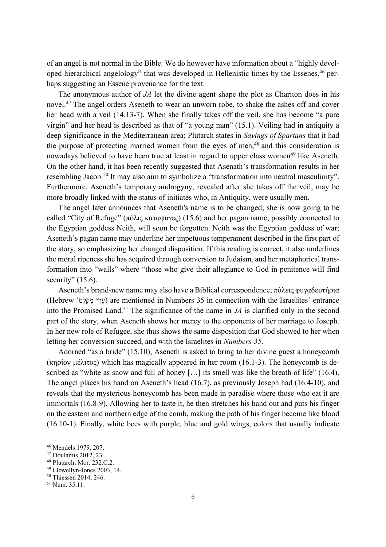of an angel is not normal in the Bible. We do however have information about a "highly developed hierarchical angelology" that was developed in Hellenistic times by the Essenes,<sup>46</sup> perhaps suggesting an Essene provenance for the text.

The anonymous author of *JA* let the divine agent shape the plot as Chariton does in his novel.47 The angel orders Aseneth to wear an unworn robe, to shake the ashes off and cover her head with a veil (14.13-7). When she finally takes off the veil, she has become "a pure virgin" and her head is described as that of "a young man" (15.1). Veiling had in antiquity a deep significance in the Mediterranean area; Plutarch states in *Sayings of Spartans* that it had the purpose of protecting married women from the eyes of men, $48$  and this consideration is nowadays believed to have been true at least in regard to upper class women<sup>49</sup> like Aseneth. On the other hand, it has been recently suggested that Asenath's transformation results in her resembling Jacob.<sup>50</sup> It may also aim to symbolize a "transformation into neutral masculinity". Furthermore, Aseneth's temporary androgyny, revealed after she takes off the veil, may be more broadly linked with the status of initiates who, in Antiquity, were usually men.

The angel later announces that Aseneth's name is to be changed; she is now going to be called "City of Refuge" (πόλις καταφυγες) (15.6) and her pagan name, possibly connected to the Egyptian goddess Neith, will soon be forgotten. Neith was the Egyptian goddess of war; Aseneth's pagan name may underline her impetuous temperament described in the first part of the story, so emphasizing her changed disposition. If this reading is correct, it also underlines the moral ripeness she has acquired through conversion to Judaism, and her metaphorical transformation into "walls" where "those who give their allegiance to God in penitence will find security"  $(15.6)$ .

Aseneth's brand-new name may also have a Biblical correspondence; πόλεις φυγαδευτήρια (Hebrew ʿ מִקְלָט עָרֵי ( are mentioned in Numbers 35 in connection with the Israelites' entrance into the Promised Land.<sup>51</sup> The significance of the name in  $JA$  is clarified only in the second part of the story, when Aseneth shows her mercy to the opponents of her marriage to Joseph. In her new role of Refugee, she thus shows the same disposition that God showed to her when letting her conversion succeed, and with the Israelites in *Numbers 35*.

Adorned "as a bride" (15.10), Aseneth is asked to bring to her divine guest a honeycomb (κηρίον μέλιτος) which has magically appeared in her room (16.1-3). The honeycomb is described as "white as snow and full of honey [...] its smell was like the breath of life" (16.4). The angel places his hand on Aseneth's head (16.7), as previously Joseph had (16.4-10), and reveals that the mysterious honeycomb has been made in paradise where those who eat it are immortals (16.8-9). Allowing her to taste it, he then stretches his hand out and puts his finger on the eastern and northern edge of the comb, making the path of his finger become like blood (16.10-1). Finally, white bees with purple, blue and gold wings, colors that usually indicate

 <sup>46</sup> Mendels 1979, 207.

<sup>47</sup> Doulamis 2012, 23.

<sup>48</sup> Plutarch, Mor. 232.C.2.

<sup>49</sup> Llewellyn-Jones 2003, 14.

<sup>50</sup> Thiessen 2014, 246.

<sup>51</sup> Num. 35.11.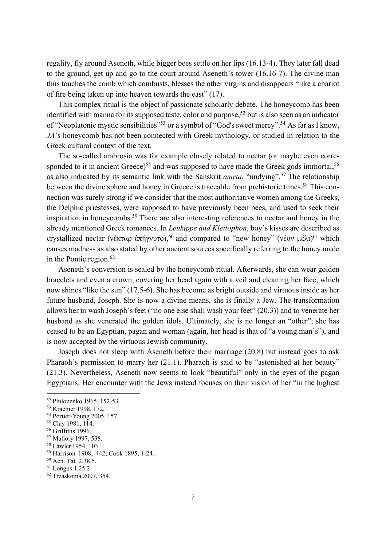regality, fly around Aseneth, while bigger bees settle on her lips (16.13-4). They later fall dead to the ground, get up and go to the court around Aseneth's tower (16.16-7). The divine man thus touches the comb which combusts, blesses the other virgins and disappears "like a chariot of fire being taken up into heaven towards the east" (17).

This complex ritual is the object of passionate scholarly debate. The honeycomb has been identified with manna for its supposed taste, color and purpose,<sup>52</sup> but is also seen as an indicator of "Neoplatonic mystic sensibilities"<sup>53</sup> or a symbol of "God's sweet mercy".<sup>54</sup> As far as I know, *JA*'s honeycomb has not been connected with Greek mythology, or studied in relation to the Greek cultural context of the text.

The so-called ambrosia was for example closely related to nectar (or maybe even corresponded to it in ancient Greece)<sup>55</sup> and was supposed to have made the Greek gods immortal,<sup>56</sup> as also indicated by its semantic link with the Sanskrit *amṛta*, "undying".57 The relationship between the divine sphere and honey in Greece is traceable from prehistoric times.<sup>58</sup> This connection was surely strong if we consider that the most authoritative women among the Greeks, the Delphic priestesses, were supposed to have previously been bees, and used to seek their inspiration in honeycombs.59 There are also interesting references to nectar and honey in the already mentioned Greek romances. In *Leukippe and Kleitophon*, boy's kisses are described as crystallized nectar (νέκταρ ἐπήγνυτο),<sup>60</sup> and compared to "new honey" (νέον μέλι)<sup>61</sup> which causes madness as also stated by other ancient sources specifically referring to the honey made in the Pontic region. $62$ 

Aseneth's conversion is sealed by the honeycomb ritual. Afterwards, she can wear golden bracelets and even a crown, covering her head again with a veil and cleaning her face, which now shines "like the sun" (17.5-6). She has become as bright outside and virtuous inside as her future husband, Joseph. She is now a divine means, she is finally a Jew. The transformation allows her to wash Joseph's feet ("no one else shall wash your feet" (20.3)) and to venerate her husband as she venerated the golden idols. Ultimately, she is no longer an "other"; she has ceased to be an Egyptian, pagan and woman (again, her head is that of "a young man's"), and is now accepted by the virtuous Jewish community.

Joseph does not sleep with Aseneth before their marriage (20.8) but instead goes to ask Pharaoh's permission to marry her (21.1). Pharaoh is said to be "astonished at her beauty" (21.3). Nevertheless, Aseneth now seems to look "beautiful" only in the eyes of the pagan Egyptians. Her encounter with the Jews instead focuses on their vision of her "in the highest

 <sup>52</sup> Philonenko 1965, 152-53.

<sup>53</sup> Kraemer 1998, 172.

<sup>54</sup> Portier-Young 2005, 157.

<sup>55</sup> Clay 1981, 114.

<sup>&</sup>lt;sup>56</sup> Griffiths 1996.

<sup>57</sup> Mallory 1997, 538.

<sup>58</sup> Lawler 1954, 103.

<sup>59</sup> Harrison 1908, 442; Cook 1895, 1-24.

<sup>60</sup> Ach. Tat. 2.38.5.

<sup>61</sup> Longus 1.25.2.

<sup>62</sup> Trzaskoma 2007, 354.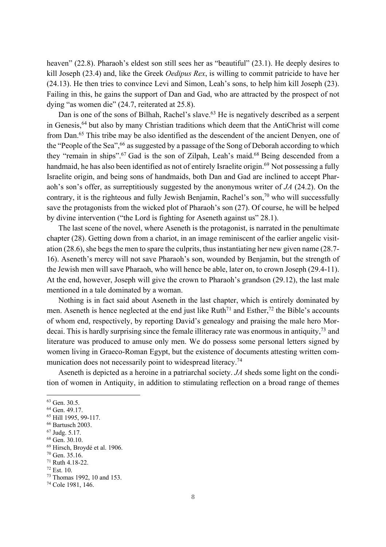heaven" (22.8). Pharaoh's eldest son still sees her as "beautiful" (23.1). He deeply desires to kill Joseph (23.4) and, like the Greek *Oedipus Rex*, is willing to commit patricide to have her (24.13). He then tries to convince Levi and Simon, Leah's sons, to help him kill Joseph (23). Failing in this, he gains the support of Dan and Gad, who are attracted by the prospect of not dying "as women die" (24.7, reiterated at 25.8).

Dan is one of the sons of Bilhah, Rachel's slave.<sup>63</sup> He is negatively described as a serpent in Genesis,64 but also by many Christian traditions which deem that the AntiChrist will come from Dan.<sup>65</sup> This tribe may be also identified as the descendent of the ancient Denyen, one of the "People of the Sea", <sup>66</sup> as suggested by a passage of the Song of Deborah according to which they "remain in ships".<sup>67</sup> Gad is the son of Zilpah, Leah's maid.<sup>68</sup> Being descended from a handmaid, he has also been identified as not of entirely Israelite origin.<sup>69</sup> Not possessing a fully Israelite origin, and being sons of handmaids, both Dan and Gad are inclined to accept Pharaoh's son's offer, as surreptitiously suggested by the anonymous writer of *JA* (24.2). On the contrary, it is the righteous and fully Jewish Benjamin, Rachel's son,<sup>70</sup> who will successfully save the protagonists from the wicked plot of Pharaoh's son (27). Of course, he will be helped by divine intervention ("the Lord is fighting for Aseneth against us" 28.1).

The last scene of the novel, where Aseneth is the protagonist, is narrated in the penultimate chapter (28). Getting down from a chariot, in an image reminiscent of the earlier angelic visitation (28.6), she begs the men to spare the culprits, thus instantiating her new given name (28.7-16). Aseneth's mercy will not save Pharaoh's son, wounded by Benjamin, but the strength of the Jewish men will save Pharaoh, who will hence be able, later on, to crown Joseph (29.4-11). At the end, however, Joseph will give the crown to Pharaoh's grandson (29.12), the last male mentioned in a tale dominated by a woman.

Nothing is in fact said about Aseneth in the last chapter, which is entirely dominated by men. Aseneth is hence neglected at the end just like Ruth<sup>71</sup> and Esther,<sup>72</sup> the Bible's accounts of whom end, respectively, by reporting David's genealogy and praising the male hero Mordecai. This is hardly surprising since the female illiteracy rate was enormous in antiquity,73 and literature was produced to amuse only men. We do possess some personal letters signed by women living in Graeco-Roman Egypt, but the existence of documents attesting written communication does not necessarily point to widespread literacy.<sup>74</sup>

Aseneth is depicted as a heroine in a patriarchal society. *JA* sheds some light on the condition of women in Antiquity, in addition to stimulating reflection on a broad range of themes

 <sup>63</sup> Gen. 30.5.

<sup>64</sup> Gen. 49.17.

<sup>65</sup> Hill 1995, 99-117.

<sup>66</sup> Bartusch 2003.

<sup>67</sup> Judg. 5.17.

<sup>68</sup> Gen. 30.10.

<sup>69</sup> Hirsch, Broydé et al. 1906.

<sup>70</sup> Gen. 35.16.

<sup>71</sup> Ruth 4.18-22.

<sup>72</sup> Est. 10.

<sup>73</sup> Thomas 1992, 10 and 153.

<sup>74</sup> Cole 1981, 146.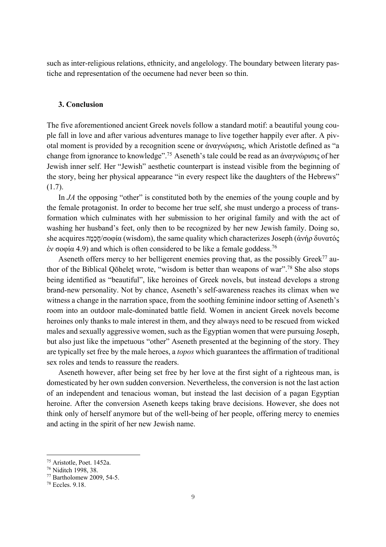such as inter-religious relations, ethnicity, and angelology. The boundary between literary pastiche and representation of the oecumene had never been so thin.

# **3. Conclusion**

The five aforementioned ancient Greek novels follow a standard motif: a beautiful young couple fall in love and after various adventures manage to live together happily ever after. A pivotal moment is provided by a recognition scene or ἀναγνώρισις, which Aristotle defined as "a change from ignorance to knowledge".75 Aseneth's tale could be read as an ἀναγνώρισις of her Jewish inner self. Her "Jewish" aesthetic counterpart is instead visible from the beginning of the story, being her physical appearance "in every respect like the daughters of the Hebrews" (1.7).

In *JA* the opposing "other" is constituted both by the enemies of the young couple and by the female protagonist. In order to become her true self, she must undergo a process of transformation which culminates with her submission to her original family and with the act of washing her husband's feet, only then to be recognized by her new Jewish family. Doing so, she acquires חָכְמָה /σοφία (wisdom), the same quality which characterizes Joseph (ἀνήρ δυνατός έν σοφία 4.9) and which is often considered to be like a female goddess.<sup>76</sup>

Aseneth offers mercy to her belligerent enemies proving that, as the possibly Greek<sup>77</sup> author of the Biblical Qōheleṯ wrote, "wisdom is better than weapons of war".78 She also stops being identified as "beautiful", like heroines of Greek novels, but instead develops a strong brand-new personality. Not by chance, Aseneth's self-awareness reaches its climax when we witness a change in the narration space, from the soothing feminine indoor setting of Aseneth's room into an outdoor male-dominated battle field. Women in ancient Greek novels become heroines only thanks to male interest in them, and they always need to be rescued from wicked males and sexually aggressive women, such as the Egyptian women that were pursuing Joseph, but also just like the impetuous "other" Aseneth presented at the beginning of the story. They are typically set free by the male heroes, a *topos* which guarantees the affirmation of traditional sex roles and tends to reassure the readers.

Aseneth however, after being set free by her love at the first sight of a righteous man, is domesticated by her own sudden conversion. Nevertheless, the conversion is not the last action of an independent and tenacious woman, but instead the last decision of a pagan Egyptian heroine. After the conversion Aseneth keeps taking brave decisions. However, she does not think only of herself anymore but of the well-being of her people, offering mercy to enemies and acting in the spirit of her new Jewish name.

 <sup>75</sup> Aristotle, Poet. 1452a.

<sup>76</sup> Niditch 1998, 38.

<sup>77</sup> Bartholomew 2009, 54-5.

<sup>78</sup> Eccles. 9.18.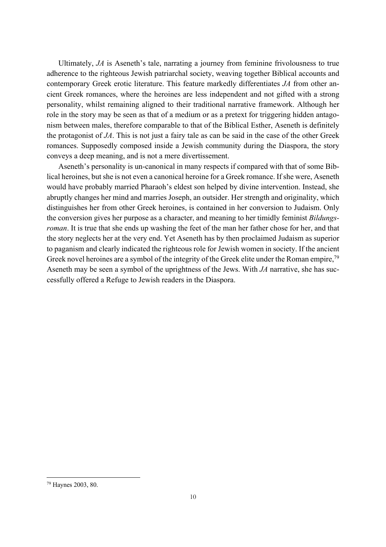Ultimately, *JA* is Aseneth's tale, narrating a journey from feminine frivolousness to true adherence to the righteous Jewish patriarchal society, weaving together Biblical accounts and contemporary Greek erotic literature. This feature markedly differentiates *JA* from other ancient Greek romances, where the heroines are less independent and not gifted with a strong personality, whilst remaining aligned to their traditional narrative framework. Although her role in the story may be seen as that of a medium or as a pretext for triggering hidden antagonism between males, therefore comparable to that of the Biblical Esther, Aseneth is definitely the protagonist of *JA*. This is not just a fairy tale as can be said in the case of the other Greek romances. Supposedly composed inside a Jewish community during the Diaspora, the story conveys a deep meaning, and is not a mere divertissement.

Aseneth's personality is un-canonical in many respects if compared with that of some Biblical heroines, but she is not even a canonical heroine for a Greek romance. If she were, Aseneth would have probably married Pharaoh's eldest son helped by divine intervention. Instead, she abruptly changes her mind and marries Joseph, an outsider. Her strength and originality, which distinguishes her from other Greek heroines, is contained in her conversion to Judaism. Only the conversion gives her purpose as a character, and meaning to her timidly feminist *Bildungsroman*. It is true that she ends up washing the feet of the man her father chose for her, and that the story neglects her at the very end. Yet Aseneth has by then proclaimed Judaism as superior to paganism and clearly indicated the righteous role for Jewish women in society. If the ancient Greek novel heroines are a symbol of the integrity of the Greek elite under the Roman empire,<sup>79</sup> Aseneth may be seen a symbol of the uprightness of the Jews. With *JA* narrative, she has successfully offered a Refuge to Jewish readers in the Diaspora.

 <sup>79</sup> Haynes 2003, 80.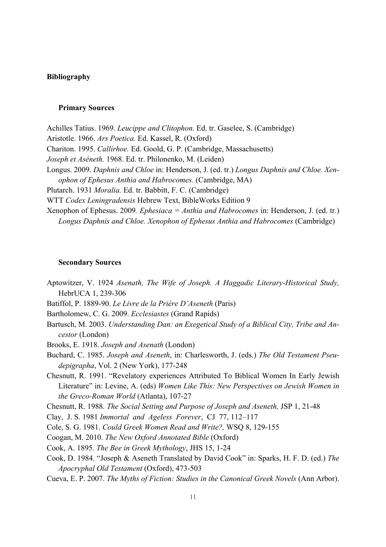# **Bibliography**

#### **Primary Sources**

Achilles Tatius. 1969. *Leucippe and Clitophon.* Ed. tr. Gaselee, S. (Cambridge) Aristotle. 1966. *Ars Poetica.* Ed. Kassel, R. (Oxford) Chariton. 1995. *Callirhoe.* Ed. Goold, G. P. (Cambridge, Massachusetts) *Joseph et Aséneth.* 1968. Ed. tr. Philonenko, M. (Leiden) Longus. 2009. *Daphnis and Chloe* in: Henderson, J. (ed. tr.) *Longus Daphnis and Chloe. Xenophon of Ephesus Anthia and Habrocomes.* (Cambridge, MA) Plutarch. 1931 *Moralia.* Ed. tr. Babbitt, F. C. (Cambridge) WTT *Codex Leningradensis* Hebrew Text, BibleWorks Edition 9 Xenophon of Ephesus. 2009*. Ephesiaca = Anthia and Habrocomes* in: Henderson, J. (ed. tr.) *Longus Daphnis and Chloe. Xenophon of Ephesus Anthia and Habrocomes* (Cambridge)

#### **Secondary Sources**

- Aptowitzer, V. 1924 *Asenath, The Wife of Joseph. A Haggadic Literary-Historical Study,* HebrUCA 1, 239-306
- Batiffol, P. 1889-90. *Le Livre de la Prière D'Aseneth* (Paris)
- Bartholomew, C. G. 2009. *Ecclesiastes* (Grand Rapids)
- Bartusch, M. 2003. *Understanding Dan: an Exegetical Study of a Biblical City, Tribe and Ancestor* (London)
- Brooks, E. 1918. *Joseph and Asenath* (London)
- Buchard, C. 1985. *Joseph and Aseneth*, in: Charlesworth, J. (eds.) *The Old Testament Pseudepigrapha*, Vol. 2 (New York), 177-248
- Chesnutt, R. 1991. "Revelatory experiences Attributed To Biblical Women In Early Jewish Literature" in: Levine, A. (eds) *Women Like This: New Perspectives on Jewish Women in the Greco-Roman World* (Atlanta), 107-27

Chesnutt, R. 1988*. The Social Setting and Purpose of Joseph and Aseneth,* JSP 1, 21-48

Clay, J. S. 1981 *Immortal and Ageless Forever*, CJ 77, 112–117

Cole, S. G. 1981. *Could Greek Women Read and Write?,* WSQ 8, 129-155

Coogan, M. 2010. *The New Oxford Annotated Bible* (Oxford)

Cook, A. 1895. *The Bee in Greek Mythology*, JHS 15, 1-24

- Cook, D. 1984. "Joseph & Aseneth Translated by David Cook" in: Sparks, H. F. D. (ed.) *The Apocryphal Old Testament* (Oxford), 473-503
- Cueva, E. P. 2007. *The Myths of Fiction: Studies in the Canonical Greek Novels* (Ann Arbor).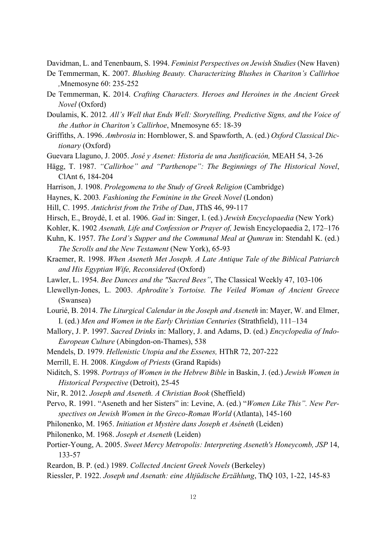Davidman, L. and Tenenbaum, S. 1994. *Feminist Perspectives on Jewish Studies* (New Haven)

- De Temmerman, K. 2007. *Blushing Beauty. Characterizing Blushes in Chariton's Callirhoe ,*Mnemosyne 60: 235-252
- De Temmerman, K. 2014. *Crafting Characters. Heroes and Heroines in the Ancient Greek Novel* (Oxford)
- Doulamis, K. 2012*. All's Well that Ends Well: Storytelling, Predictive Signs, and the Voice of the Author in Chariton's Callirhoe*, Mnemosyne 65: 18-39
- Griffiths, A. 1996. *Ambrosia* in: Hornblower, S. and Spawforth, A. (ed.) *Oxford Classical Dictionary* (Oxford)
- Guevara Llaguno, J. 2005. *José y Asenet: Historia de una Justificación,* MEAH 54, 3-26
- Hägg, T. 1987. *"Callirhoe" and "Parthenope": The Beginnings of The Historical Novel*, ClAnt 6, 184-204
- Harrison, J. 1908. *Prolegomena to the Study of Greek Religion* (Cambridge)
- Haynes, K. 2003*. Fashioning the Feminine in the Greek Novel* (London)
- Hill, C. 1995. *Antichrist from the Tribe of Dan*, JThS 46, 99-117
- Hirsch, E., Broydé, I. et al. 1906. *Gad* in: Singer, I. (ed.) *Jewish Encyclopaedia* (New York)
- Kohler, K. 1902 *Asenath, Life and Confession or Prayer of,* Jewish Encyclopaedia 2, 172–176
- Kuhn, K. 1957. *The Lord's Supper and the Communal Meal at Qumran* in: Stendahl K. (ed.) *The Scrolls and the New Testament* (New York), 65-93
- Kraemer, R. 1998. *When Aseneth Met Joseph. A Late Antique Tale of the Biblical Patriarch and His Egyptian Wife, Reconsidered* (Oxford)
- Lawler, L. 1954. *Bee Dances and the "Sacred Bees"*, The Classical Weekly 47, 103-106
- Llewellyn-Jones, L. 2003. *Aphrodite's Tortoise. The Veiled Woman of Ancient Greece* (Swansea)
- Lourié, B. 2014. *The Liturgical Calendar in the Joseph and Aseneth* in: Mayer, W. and Elmer, I. (ed.) *Men and Women in the Early Christian Centuries* (Strathfield), 111–134
- Mallory, J. P. 1997. *Sacred Drinks* in: Mallory, J. and Adams, D. (ed.) *Encyclopedia of Indo-European Culture* (Abingdon-on-Thames), 538
- Mendels, D. 1979. *Hellenistic Utopia and the Essenes,* HThR 72, 207-222
- Merrill, E. H. 2008. *Kingdom of Priests* (Grand Rapids)
- Niditch, S. 1998. *Portrays of Women in the Hebrew Bible* in Baskin, J. (ed.) *Jewish Women in Historical Perspective* (Detroit), 25-45
- Nir, R. 2012. *Joseph and Aseneth. A Christian Book* (Sheffield)
- Pervo, R. 1991. "Aseneth and her Sisters" in: Levine, A. (ed.) "*Women Like This". New Perspectives on Jewish Women in the Greco-Roman World* (Atlanta), 145-160
- Philonenko, M. 1965. *Initiation et Mystère dans Joseph et Aséneth* (Leiden)
- Philonenko, M. 1968. *Joseph et Aseneth* (Leiden)
- Portier-Young, A. 2005. *Sweet Mercy Metropolis: Interpreting Aseneth's Honeycomb, JSP* 14, 133-57
- Reardon, B. P. (ed.) 1989. *Collected Ancient Greek Novels* (Berkeley)
- Riessler, P. 1922. *Joseph und Asenath: eine Altjüdische Erzählung*, ThQ 103, 1-22, 145-83